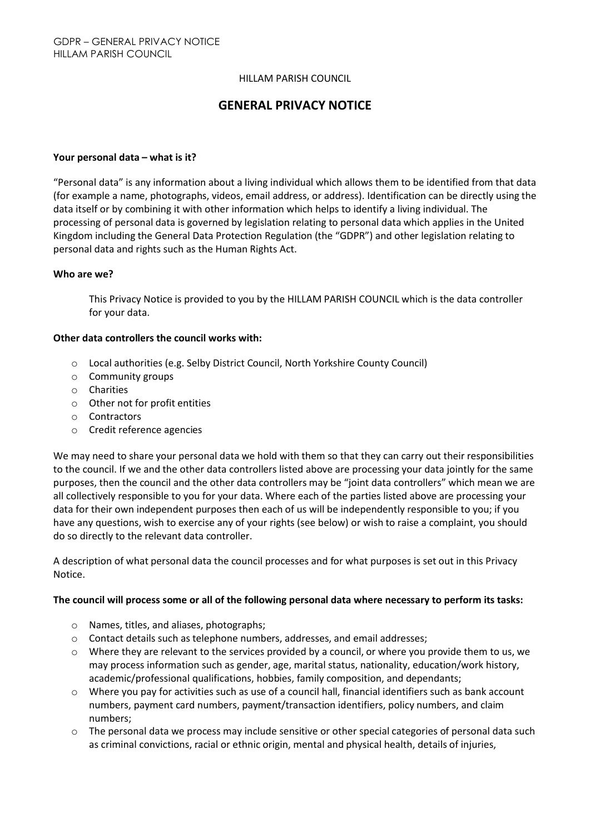#### HILLAM PARISH COUNCIL

# GENERAL PRIVACY NOTICE

#### Your personal data – what is it?

"Personal data" is any information about a living individual which allows them to be identified from that data (for example a name, photographs, videos, email address, or address). Identification can be directly using the data itself or by combining it with other information which helps to identify a living individual. The processing of personal data is governed by legislation relating to personal data which applies in the United Kingdom including the General Data Protection Regulation (the "GDPR") and other legislation relating to personal data and rights such as the Human Rights Act.

#### Who are we?

This Privacy Notice is provided to you by the HILLAM PARISH COUNCIL which is the data controller for your data.

#### Other data controllers the council works with:

- o Local authorities (e.g. Selby District Council, North Yorkshire County Council)
- o Community groups
- o Charities
- o Other not for profit entities
- o Contractors
- o Credit reference agencies

We may need to share your personal data we hold with them so that they can carry out their responsibilities to the council. If we and the other data controllers listed above are processing your data jointly for the same purposes, then the council and the other data controllers may be "joint data controllers" which mean we are all collectively responsible to you for your data. Where each of the parties listed above are processing your data for their own independent purposes then each of us will be independently responsible to you; if you have any questions, wish to exercise any of your rights (see below) or wish to raise a complaint, you should do so directly to the relevant data controller.

A description of what personal data the council processes and for what purposes is set out in this Privacy Notice.

### The council will process some or all of the following personal data where necessary to perform its tasks:

- o Names, titles, and aliases, photographs;
- o Contact details such as telephone numbers, addresses, and email addresses;
- o Where they are relevant to the services provided by a council, or where you provide them to us, we may process information such as gender, age, marital status, nationality, education/work history, academic/professional qualifications, hobbies, family composition, and dependants;
- $\circ$  Where you pay for activities such as use of a council hall, financial identifiers such as bank account numbers, payment card numbers, payment/transaction identifiers, policy numbers, and claim numbers;
- o The personal data we process may include sensitive or other special categories of personal data such as criminal convictions, racial or ethnic origin, mental and physical health, details of injuries,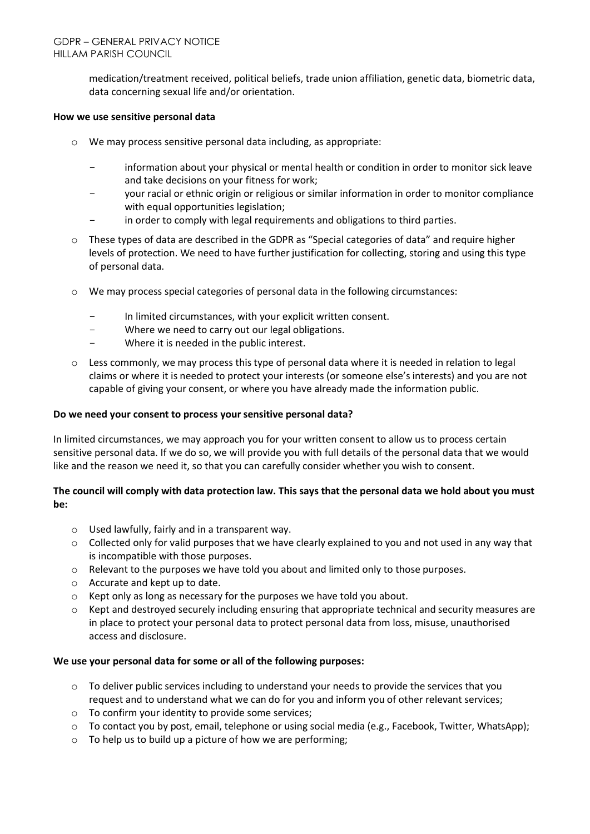medication/treatment received, political beliefs, trade union affiliation, genetic data, biometric data, data concerning sexual life and/or orientation.

### How we use sensitive personal data

- o We may process sensitive personal data including, as appropriate:
	- information about your physical or mental health or condition in order to monitor sick leave and take decisions on your fitness for work;
	- your racial or ethnic origin or religious or similar information in order to monitor compliance with equal opportunities legislation;
	- in order to comply with legal requirements and obligations to third parties.
- $\circ$  These types of data are described in the GDPR as "Special categories of data" and require higher levels of protection. We need to have further justification for collecting, storing and using this type of personal data.
- $\circ$  We may process special categories of personal data in the following circumstances:
	- In limited circumstances, with your explicit written consent.
	- Where we need to carry out our legal obligations.
	- Where it is needed in the public interest.
- o Less commonly, we may process this type of personal data where it is needed in relation to legal claims or where it is needed to protect your interests (or someone else's interests) and you are not capable of giving your consent, or where you have already made the information public.

## Do we need your consent to process your sensitive personal data?

In limited circumstances, we may approach you for your written consent to allow us to process certain sensitive personal data. If we do so, we will provide you with full details of the personal data that we would like and the reason we need it, so that you can carefully consider whether you wish to consent.

# The council will comply with data protection law. This says that the personal data we hold about you must be:

- o Used lawfully, fairly and in a transparent way.
- o Collected only for valid purposes that we have clearly explained to you and not used in any way that is incompatible with those purposes.
- $\circ$  Relevant to the purposes we have told you about and limited only to those purposes.
- o Accurate and kept up to date.
- o Kept only as long as necessary for the purposes we have told you about.
- $\circ$  Kept and destroyed securely including ensuring that appropriate technical and security measures are in place to protect your personal data to protect personal data from loss, misuse, unauthorised access and disclosure.

### We use your personal data for some or all of the following purposes:

- $\circ$  To deliver public services including to understand your needs to provide the services that you request and to understand what we can do for you and inform you of other relevant services;
- o To confirm your identity to provide some services;
- o To contact you by post, email, telephone or using social media (e.g., Facebook, Twitter, WhatsApp);
- $\circ$  To help us to build up a picture of how we are performing;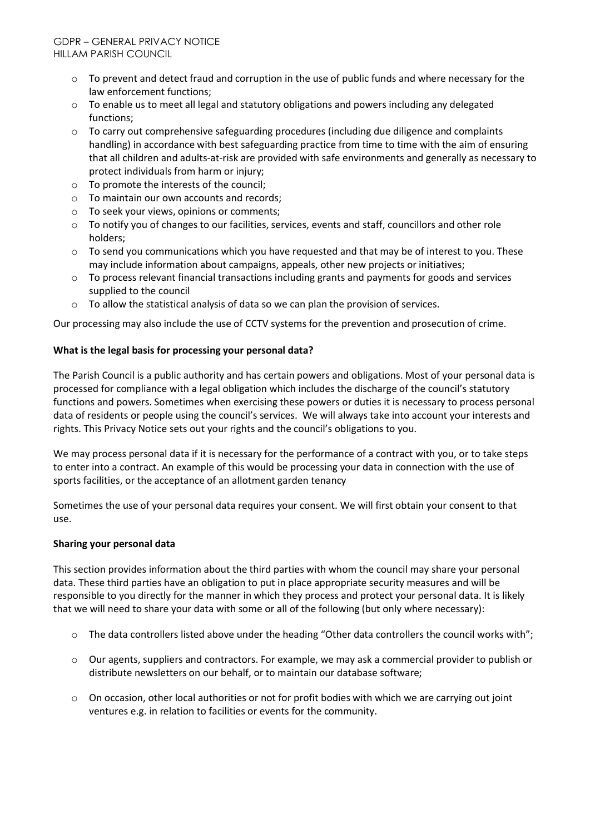- $\circ$  To prevent and detect fraud and corruption in the use of public funds and where necessary for the law enforcement functions;
- $\circ$  To enable us to meet all legal and statutory obligations and powers including any delegated functions;
- $\circ$  To carry out comprehensive safeguarding procedures (including due diligence and complaints handling) in accordance with best safeguarding practice from time to time with the aim of ensuring that all children and adults-at-risk are provided with safe environments and generally as necessary to protect individuals from harm or injury;
- o To promote the interests of the council;
- o To maintain our own accounts and records;
- o To seek your views, opinions or comments;
- o To notify you of changes to our facilities, services, events and staff, councillors and other role holders;
- $\circ$  To send you communications which you have requested and that may be of interest to you. These may include information about campaigns, appeals, other new projects or initiatives;
- o To process relevant financial transactions including grants and payments for goods and services supplied to the council
- o To allow the statistical analysis of data so we can plan the provision of services.

Our processing may also include the use of CCTV systems for the prevention and prosecution of crime.

## What is the legal basis for processing your personal data?

The Parish Council is a public authority and has certain powers and obligations. Most of your personal data is processed for compliance with a legal obligation which includes the discharge of the council's statutory functions and powers. Sometimes when exercising these powers or duties it is necessary to process personal data of residents or people using the council's services. We will always take into account your interests and rights. This Privacy Notice sets out your rights and the council's obligations to you.

We may process personal data if it is necessary for the performance of a contract with you, or to take steps to enter into a contract. An example of this would be processing your data in connection with the use of sports facilities, or the acceptance of an allotment garden tenancy

Sometimes the use of your personal data requires your consent. We will first obtain your consent to that use.

### Sharing your personal data

This section provides information about the third parties with whom the council may share your personal data. These third parties have an obligation to put in place appropriate security measures and will be responsible to you directly for the manner in which they process and protect your personal data. It is likely that we will need to share your data with some or all of the following (but only where necessary):

- o The data controllers listed above under the heading "Other data controllers the council works with";
- o Our agents, suppliers and contractors. For example, we may ask a commercial provider to publish or distribute newsletters on our behalf, or to maintain our database software;
- o On occasion, other local authorities or not for profit bodies with which we are carrying out joint ventures e.g. in relation to facilities or events for the community.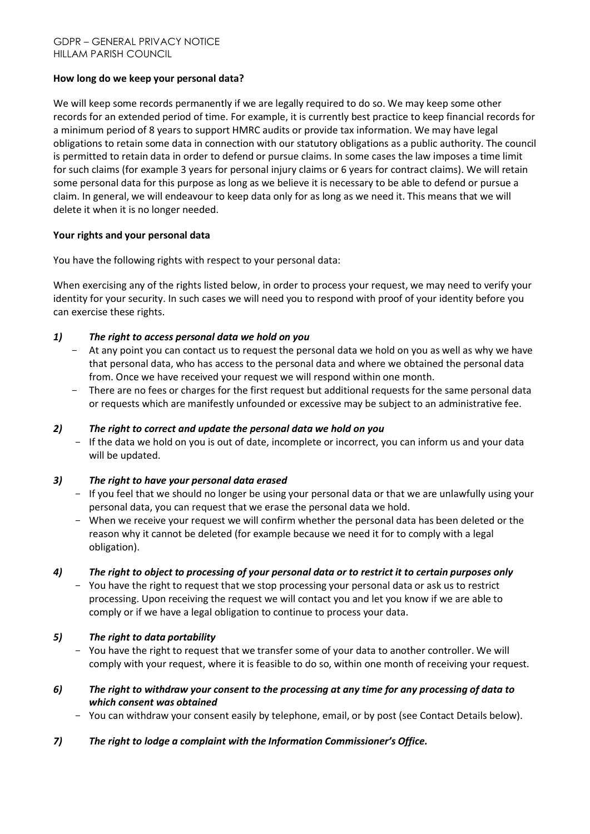## How long do we keep your personal data?

We will keep some records permanently if we are legally required to do so. We may keep some other records for an extended period of time. For example, it is currently best practice to keep financial records for a minimum period of 8 years to support HMRC audits or provide tax information. We may have legal obligations to retain some data in connection with our statutory obligations as a public authority. The council is permitted to retain data in order to defend or pursue claims. In some cases the law imposes a time limit for such claims (for example 3 years for personal injury claims or 6 years for contract claims). We will retain some personal data for this purpose as long as we believe it is necessary to be able to defend or pursue a claim. In general, we will endeavour to keep data only for as long as we need it. This means that we will delete it when it is no longer needed.

## Your rights and your personal data

You have the following rights with respect to your personal data:

When exercising any of the rights listed below, in order to process your request, we may need to verify your identity for your security. In such cases we will need you to respond with proof of your identity before you can exercise these rights.

# *1) The right to access personal data we hold on you*

- At any point you can contact us to request the personal data we hold on you as well as why we have that personal data, who has access to the personal data and where we obtained the personal data from. Once we have received your request we will respond within one month.
- There are no fees or charges for the first request but additional requests for the same personal data or requests which are manifestly unfounded or excessive may be subject to an administrative fee.

### *2) The right to correct and update the personal data we hold on you*

- If the data we hold on you is out of date, incomplete or incorrect, you can inform us and your data will be updated.

### *3) The right to have your personal data erased*

- If you feel that we should no longer be using your personal data or that we are unlawfully using your personal data, you can request that we erase the personal data we hold.
- When we receive your request we will confirm whether the personal data has been deleted or the reason why it cannot be deleted (for example because we need it for to comply with a legal obligation).

### *4) The right to object to processing of your personal data or to restrict it to certain purposes only*

- You have the right to request that we stop processing your personal data or ask us to restrict processing. Upon receiving the request we will contact you and let you know if we are able to comply or if we have a legal obligation to continue to process your data.

# *5) The right to data portability*

- You have the right to request that we transfer some of your data to another controller. We will comply with your request, where it is feasible to do so, within one month of receiving your request.
- *6) The right to withdraw your consent to the processing at any time for any processing of data to which consent was obtained*
	- You can withdraw your consent easily by telephone, email, or by post (see Contact Details below).
- *7) The right to lodge a complaint with the Information Commissioner's Office.*